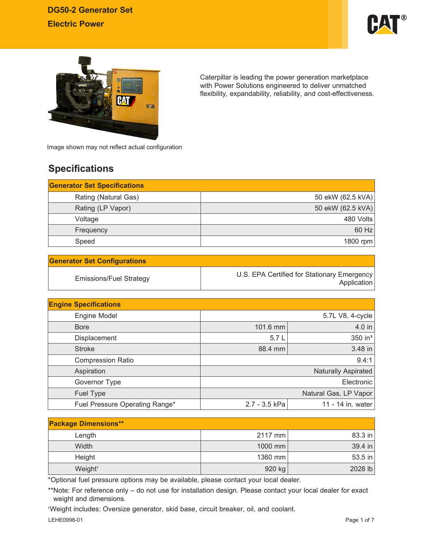



Caterpillar is leading the power generation marketplace with Power Solutions engineered to deliver unmatched flexibility, expandability, reliability, and cost-effectiveness.

Image shown may not reflect actual configuration

# **Specifications**

| <b>Generator Set Specifications</b> |                   |
|-------------------------------------|-------------------|
| Rating (Natural Gas)                | 50 ekW (62.5 kVA) |
| Rating (LP Vapor)                   | 50 ekW (62.5 kVA) |
| Voltage                             | 480 Volts         |
| Frequency                           | 60 Hz             |
| Speed                               | 1800 rpm          |

| <b>Generator Set Configurations</b> |                                                            |
|-------------------------------------|------------------------------------------------------------|
| Emissions/Fuel Strategy             | U.S. EPA Certified for Stationary Emergency<br>Application |

| <b>Engine Specifications</b>   |               |                            |
|--------------------------------|---------------|----------------------------|
| Engine Model                   |               | 5.7L V8, 4-cycle           |
| <b>Bore</b>                    | 101.6 mm      | 4.0 in                     |
| Displacement                   | 5.7L          | 350 in <sup>3</sup>        |
| <b>Stroke</b>                  | 88.4 mm       | 3.48 in                    |
| <b>Compression Ratio</b>       |               | 9.4:1                      |
| Aspiration                     |               | <b>Naturally Aspirated</b> |
| Governor Type                  |               | Electronic                 |
| Fuel Type                      |               | Natural Gas, LP Vapor      |
| Fuel Pressure Operating Range* | 2.7 - 3.5 kPa | 11 - 14 in. water          |

| <b>Package Dimensions**</b> |           |           |
|-----------------------------|-----------|-----------|
| Length                      | $2117$ mm | 83.3 in   |
| Width                       | $1000$ mm | $39.4$ in |
| Height                      | 1360 mm   | 53.5 in   |
| Weight <sup>+</sup>         | 920 kg    | 2028 lb   |

\*Optional fuel pressure options may be available, please contact your local dealer.

\*\*Note: For reference only – do not use for installation design. Please contact your local dealer for exact weight and dimensions.

† Weight includes: Oversize generator, skid base, circuit breaker, oil, and coolant.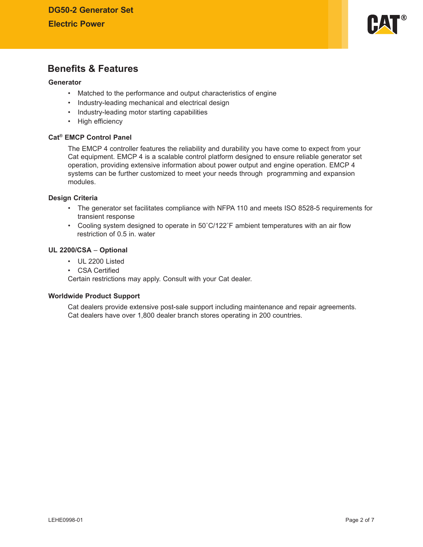

## **Benefits & Features**

#### **Generator**

- Matched to the performance and output characteristics of engine
- Industry-leading mechanical and electrical design
- Industry-leading motor starting capabilities
- High efficiency

#### **Cat® EMCP Control Panel**

The EMCP 4 controller features the reliability and durability you have come to expect from your Cat equipment. EMCP 4 is a scalable control platform designed to ensure reliable generator set operation, providing extensive information about power output and engine operation. EMCP 4 systems can be further customized to meet your needs through programming and expansion modules.

#### **Design Criteria**

- The generator set facilitates compliance with NFPA 110 and meets ISO 8528-5 requirements for transient response
- Cooling system designed to operate in 50°C/122°F ambient temperatures with an air flow restriction of 0.5 in. water

#### **UL 2200/CSA** – **Optional**

- UL 2200 Listed
- CSA Certified

Certain restrictions may apply. Consult with your Cat dealer.

#### **Worldwide Product Support**

Cat dealers provide extensive post-sale support including maintenance and repair agreements. Cat dealers have over 1,800 dealer branch stores operating in 200 countries.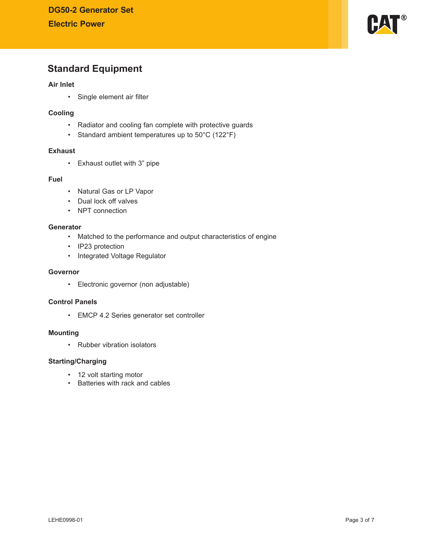

## **Standard Equipment**

## **Air Inlet**

• Single element air filter

### **Cooling**

- Radiator and cooling fan complete with protective guards
- Standard ambient temperatures up to 50°C (122°F)

## **Exhaust**

• Exhaust outlet with 3" pipe

### **Fuel**

- Natural Gas or LP Vapor
- Dual lock off valves
- NPT connection

## **Generator**

- Matched to the performance and output characteristics of engine
- IP23 protection
- Integrated Voltage Regulator

## **Governor**

• Electronic governor (non adjustable)

### **Control Panels**

• EMCP 4.2 Series generator set controller

#### **Mounting**

• Rubber vibration isolators

### **Starting/Charging**

- 12 volt starting motor
- Batteries with rack and cables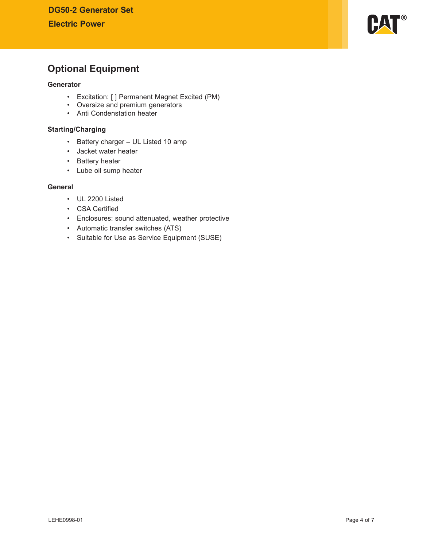

# **Optional Equipment**

#### **Generator**

- Excitation: [ ] Permanent Magnet Excited (PM)
- Oversize and premium generators
- Anti Condenstation heater

## **Starting/Charging**

- Battery charger UL Listed 10 amp
- Jacket water heater
- Battery heater
- Lube oil sump heater

### **General**

- UL 2200 Listed
- CSA Certified
- Enclosures: sound attenuated, weather protective
- Automatic transfer switches (ATS)
- Suitable for Use as Service Equipment (SUSE)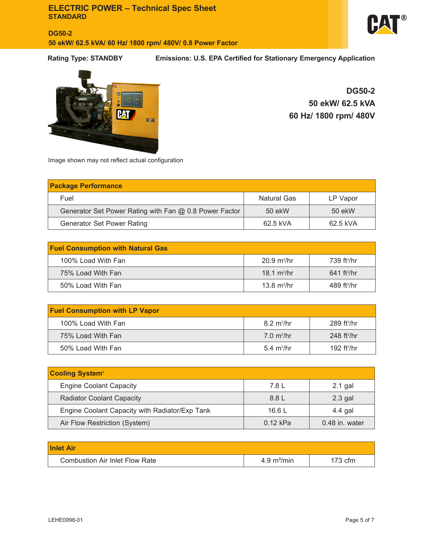**DG50-2 50 ekW/ 62.5 kVA/ 60 Hz/ 1800 rpm/ 480V/ 0.8 Power Factor**



**Rating Type: STANDBY Emissions: U.S. EPA Certified for Stationary Emergency Application**



**DG50-2 50 ekW/ 62.5 kVA 60 Hz/ 1800 rpm/ 480V**

Image shown may not reflect actual configuration

| <b>Package Performance</b>                             |                    |          |  |
|--------------------------------------------------------|--------------------|----------|--|
| Fuel                                                   | <b>Natural Gas</b> | LP Vapor |  |
| Generator Set Power Rating with Fan @ 0.8 Power Factor | 50 ekW             | 50 ekW   |  |
| <b>Generator Set Power Rating</b>                      | 62.5 kVA           | 62.5 kVA |  |

| <b>Fuel Consumption with Natural Gas</b> |                              |                           |
|------------------------------------------|------------------------------|---------------------------|
| 100% Load With Fan                       | $20.9 \text{ m}^3/\text{hr}$ | 739 ft <sup>3</sup> /hr   |
| 75% Load With Fan                        | 18.1 $m^3/hr$                | $641$ ft <sup>3</sup> /hr |
| 50% Load With Fan                        | 13.8 $m^3/hr$                | $489$ ft <sup>3</sup> /hr |

| <b>Fuel Consumption with LP Vapor</b> |                             |                           |
|---------------------------------------|-----------------------------|---------------------------|
| 100% Load With Fan                    | $8.2 \text{ m}^3/\text{hr}$ | $289$ ft <sup>3</sup> /hr |
| 75% Load With Fan                     | $7.0 \text{ m}^3/\text{hr}$ | $248$ ft <sup>3</sup> /hr |
| 50% Load With Fan                     | $5.4 \text{ m}^3/\text{hr}$ | 192 $ft3/hr$              |

| <b>Cooling System1</b>                         |            |                |
|------------------------------------------------|------------|----------------|
| <b>Engine Coolant Capacity</b>                 | 7.8 L      | $2.1$ gal      |
| <b>Radiator Coolant Capacity</b>               | 8.8 L      | $2.3$ gal      |
| Engine Coolant Capacity with Radiator/Exp Tank | 16.6 L     | 4.4 gal        |
| Air Flow Restriction (System)                  | $0.12$ kPa | 0.48 in. water |

| <b>Inlet Air</b>                      |                              |           |
|---------------------------------------|------------------------------|-----------|
| <b>Combustion Air Inlet Flow Rate</b> | $4.9 \text{ m}^3/\text{min}$ | $173$ cfm |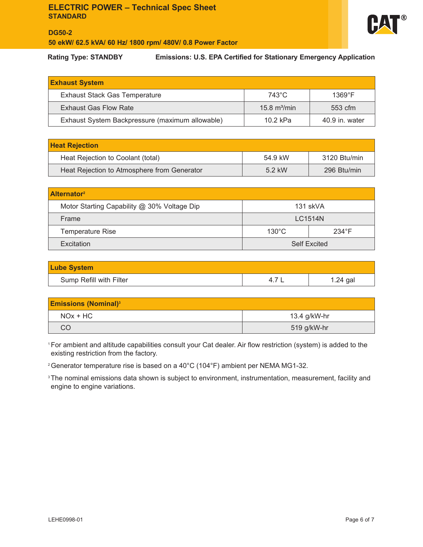

## **DG50-2 50 ekW/ 62.5 kVA/ 60 Hz/ 1800 rpm/ 480V/ 0.8 Power Factor**

**Rating Type: STANDBY Emissions: U.S. EPA Certified for Stationary Emergency Application**

| <b>Exhaust System</b>                           |                 |                 |
|-------------------------------------------------|-----------------|-----------------|
| <b>Exhaust Stack Gas Temperature</b>            | 743°C           | $1369^{\circ}F$ |
| <b>Exhaust Gas Flow Rate</b>                    | 15.8 $m^3$ /min | $553$ cfm       |
| Exhaust System Backpressure (maximum allowable) | $10.2$ kPa      | 40.9 in. water  |

| <b>Heat Rejection</b>                       |         |              |
|---------------------------------------------|---------|--------------|
| Heat Rejection to Coolant (total)           | 54.9 kW | 3120 Btu/min |
| Heat Rejection to Atmosphere from Generator | 5.2 kW  | 296 Btu/min  |

| <b>Alternator</b> <sup>2</sup>              |                                    |          |  |
|---------------------------------------------|------------------------------------|----------|--|
| Motor Starting Capability @ 30% Voltage Dip |                                    | 131 skVA |  |
| Frame                                       | <b>LC1514N</b>                     |          |  |
| Temperature Rise                            | $130^{\circ}$ C<br>$234^{\circ}$ F |          |  |
| Excitation                                  | <b>Self Excited</b>                |          |  |

| <b>Lube System</b>      |            |
|-------------------------|------------|
| Sump Refill with Filter | $1.24$ gal |

| <b>Emissions (Nominal)</b> <sup>3</sup> |              |  |
|-----------------------------------------|--------------|--|
| $NOx + HC$                              | 13.4 g/kW-hr |  |
| CO                                      | 519 g/kW-hr  |  |

<sup>1</sup>For ambient and altitude capabilities consult your Cat dealer. Air flow restriction (system) is added to the existing restriction from the factory.

2 Generator temperature rise is based on a 40°C (104°F) ambient per NEMA MG1-32.

<sup>3</sup> The nominal emissions data shown is subject to environment, instrumentation, measurement, facility and engine to engine variations.